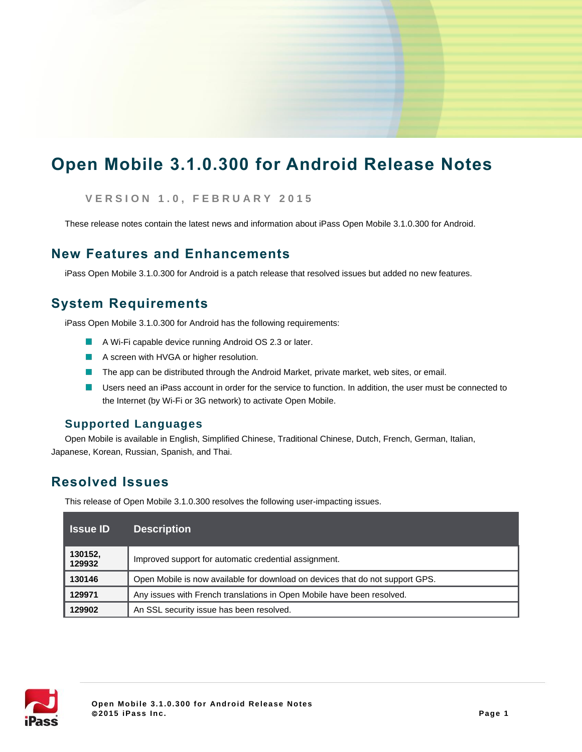# **Open Mobile 3.1.0.300 for Android Release Notes**

**V E R S I O N 1 . 0, F E B R U A R Y 2 0 1 5**

These release notes contain the latest news and information about iPass Open Mobile 3.1.0.300 for Android.

## **New Features and Enhancements**

iPass Open Mobile 3.1.0.300 for Android is a patch release that resolved issues but added no new features.

## **System Requirements**

iPass Open Mobile 3.1.0.300 for Android has the following requirements:

- A Wi-Fi capable device running Android OS 2.3 or later.
- A screen with HVGA or higher resolution.
- The app can be distributed through the Android Market, private market, web sites, or email.  $\sim$
- Users need an iPass account in order for the service to function. In addition, the user must be connected to the Internet (by Wi-Fi or 3G network) to activate Open Mobile.

### **Supported Languages**

Open Mobile is available in English, Simplified Chinese, Traditional Chinese, Dutch, French, German, Italian, Japanese, Korean, Russian, Spanish, and Thai.

## **Resolved Issues**

This release of Open Mobile 3.1.0.300 resolves the following user-impacting issues.

| ⊟Issue ID∶        | <b>Description</b>                                                            |
|-------------------|-------------------------------------------------------------------------------|
| 130152,<br>129932 | Improved support for automatic credential assignment.                         |
| 130146            | Open Mobile is now available for download on devices that do not support GPS. |
| 129971            | Any issues with French translations in Open Mobile have been resolved.        |
| 129902            | An SSL security issue has been resolved.                                      |

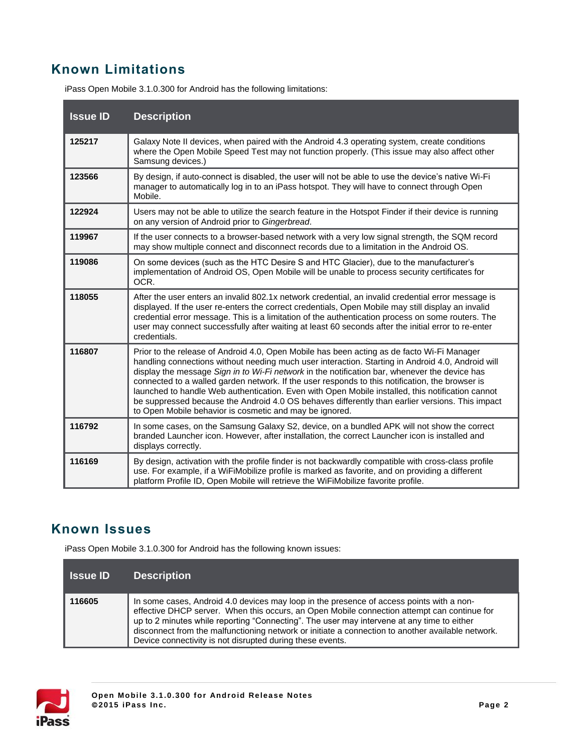## **Known Limitations**

| <b>Issue ID</b> | <b>Description</b>                                                                                                                                                                                                                                                                                                                                                                                                                                                                                                                                                                                                                                                    |
|-----------------|-----------------------------------------------------------------------------------------------------------------------------------------------------------------------------------------------------------------------------------------------------------------------------------------------------------------------------------------------------------------------------------------------------------------------------------------------------------------------------------------------------------------------------------------------------------------------------------------------------------------------------------------------------------------------|
| 125217          | Galaxy Note II devices, when paired with the Android 4.3 operating system, create conditions<br>where the Open Mobile Speed Test may not function properly. (This issue may also affect other<br>Samsung devices.)                                                                                                                                                                                                                                                                                                                                                                                                                                                    |
| 123566          | By design, if auto-connect is disabled, the user will not be able to use the device's native Wi-Fi<br>manager to automatically log in to an iPass hotspot. They will have to connect through Open<br>Mobile.                                                                                                                                                                                                                                                                                                                                                                                                                                                          |
| 122924          | Users may not be able to utilize the search feature in the Hotspot Finder if their device is running<br>on any version of Android prior to Gingerbread.                                                                                                                                                                                                                                                                                                                                                                                                                                                                                                               |
| 119967          | If the user connects to a browser-based network with a very low signal strength, the SQM record<br>may show multiple connect and disconnect records due to a limitation in the Android OS.                                                                                                                                                                                                                                                                                                                                                                                                                                                                            |
| 119086          | On some devices (such as the HTC Desire S and HTC Glacier), due to the manufacturer's<br>implementation of Android OS, Open Mobile will be unable to process security certificates for<br>OCR.                                                                                                                                                                                                                                                                                                                                                                                                                                                                        |
| 118055          | After the user enters an invalid 802.1x network credential, an invalid credential error message is<br>displayed. If the user re-enters the correct credentials, Open Mobile may still display an invalid<br>credential error message. This is a limitation of the authentication process on some routers. The<br>user may connect successfully after waiting at least 60 seconds after the initial error to re-enter<br>credentials.                                                                                                                                                                                                                                  |
| 116807          | Prior to the release of Android 4.0, Open Mobile has been acting as de facto Wi-Fi Manager<br>handling connections without needing much user interaction. Starting in Android 4.0, Android will<br>display the message Sign in to Wi-Fi network in the notification bar, whenever the device has<br>connected to a walled garden network. If the user responds to this notification, the browser is<br>launched to handle Web authentication. Even with Open Mobile installed, this notification cannot<br>be suppressed because the Android 4.0 OS behaves differently than earlier versions. This impact<br>to Open Mobile behavior is cosmetic and may be ignored. |
| 116792          | In some cases, on the Samsung Galaxy S2, device, on a bundled APK will not show the correct<br>branded Launcher icon. However, after installation, the correct Launcher icon is installed and<br>displays correctly.                                                                                                                                                                                                                                                                                                                                                                                                                                                  |
| 116169          | By design, activation with the profile finder is not backwardly compatible with cross-class profile<br>use. For example, if a WiFiMobilize profile is marked as favorite, and on providing a different<br>platform Profile ID, Open Mobile will retrieve the WiFiMobilize favorite profile.                                                                                                                                                                                                                                                                                                                                                                           |

## **Known Issues**

iPass Open Mobile 3.1.0.300 for Android has the following known issues:

| <b>Issue ID</b> | <b>Description</b>                                                                                                                                                                                                                                                                                                                                                                                                                                      |
|-----------------|---------------------------------------------------------------------------------------------------------------------------------------------------------------------------------------------------------------------------------------------------------------------------------------------------------------------------------------------------------------------------------------------------------------------------------------------------------|
| 116605          | In some cases, Android 4.0 devices may loop in the presence of access points with a non-<br>effective DHCP server. When this occurs, an Open Mobile connection attempt can continue for<br>up to 2 minutes while reporting "Connecting". The user may intervene at any time to either<br>disconnect from the malfunctioning network or initiate a connection to another available network.<br>Device connectivity is not disrupted during these events. |